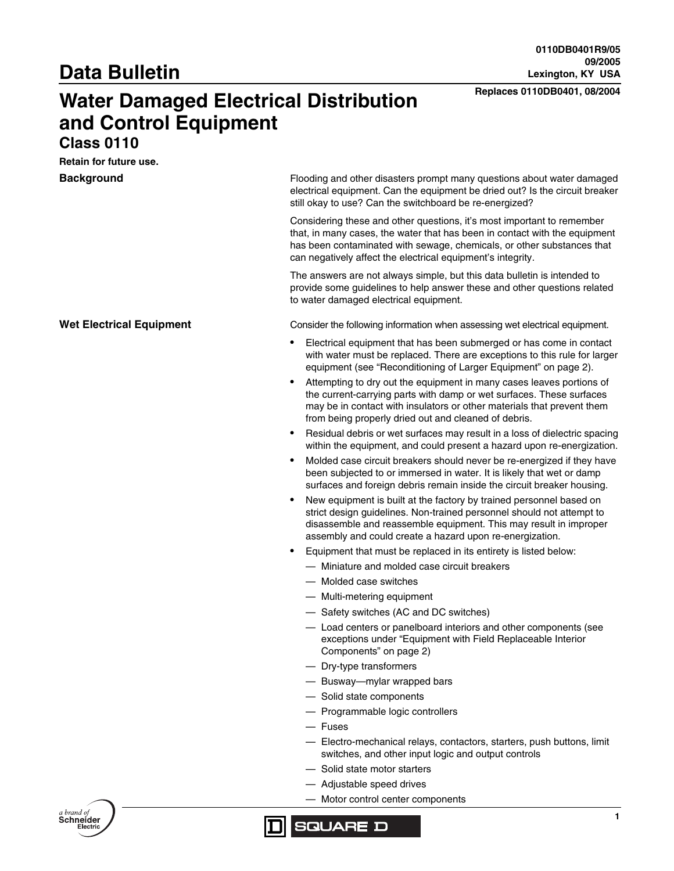# **Data Bulletin**

# **Replaces 0110DB0401, 08/2004 Water Damaged Electrical Distribution and Control Equipment**

## **Class 0110**

**Retain for future use.**

**Background** Flooding and other disasters prompt many questions about water damaged electrical equipment. Can the equipment be dried out? Is the circuit breaker still okay to use? Can the switchboard be re-energized?

> Considering these and other questions, it's most important to remember that, in many cases, the water that has been in contact with the equipment has been contaminated with sewage, chemicals, or other substances that can negatively affect the electrical equipment's integrity.

> The answers are not always simple, but this data bulletin is intended to provide some guidelines to help answer these and other questions related to water damaged electrical equipment.

**Wet Electrical Equipment** Consider the following information when assessing wet electrical equipment.

- Electrical equipment that has been submerged or has come in contact with water must be replaced. There are exceptions to this rule for larger equipment (see ["Reconditioning of Larger Equipment" on page 2](#page-1-0)).
- Attempting to dry out the equipment in many cases leaves portions of the current-carrying parts with damp or wet surfaces. These surfaces may be in contact with insulators or other materials that prevent them from being properly dried out and cleaned of debris.
- Residual debris or wet surfaces may result in a loss of dielectric spacing within the equipment, and could present a hazard upon re-energization.
- Molded case circuit breakers should never be re-energized if they have been subjected to or immersed in water. It is likely that wet or damp surfaces and foreign debris remain inside the circuit breaker housing.
- New equipment is built at the factory by trained personnel based on strict design guidelines. Non-trained personnel should not attempt to disassemble and reassemble equipment. This may result in improper assembly and could create a hazard upon re-energization.
- Equipment that must be replaced in its entirety is listed below:
	- Miniature and molded case circuit breakers
	- Molded case switches
	- Multi-metering equipment
	- Safety switches (AC and DC switches)
	- Load centers or panelboard interiors and other components (see exceptions under ["Equipment with Field Replaceable Interior](#page-1-1)  [Components" on page 2](#page-1-1))
	- Dry-type transformers
	- Busway—mylar wrapped bars
	- Solid state components
	- Programmable logic controllers
	- Fuses
	- Electro-mechanical relays, contactors, starters, push buttons, limit switches, and other input logic and output controls
	- Solid state motor starters
	- Adjustable speed drives
	- Motor control center components



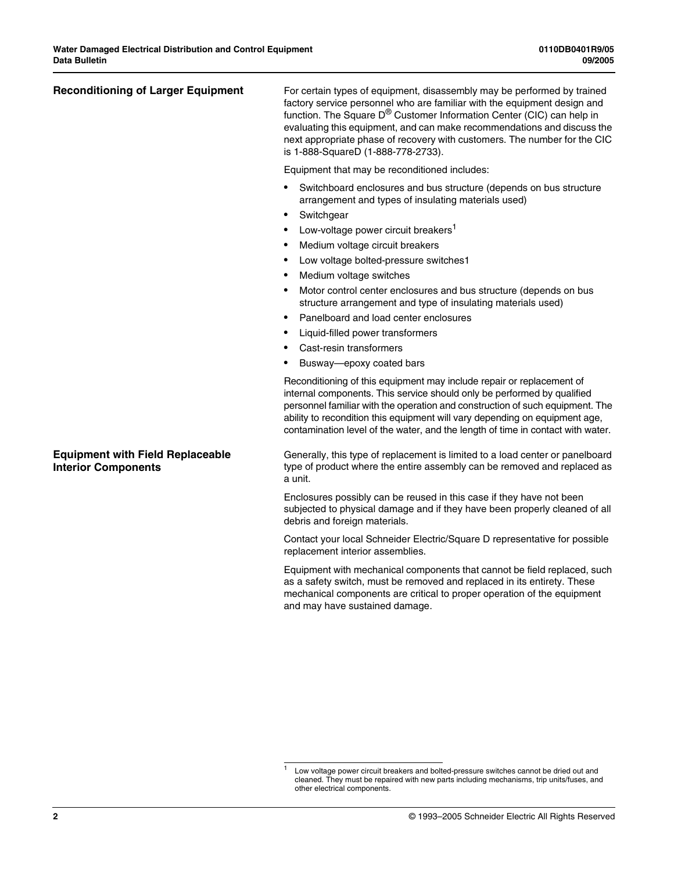<span id="page-1-0"></span>**Reconditioning of Larger Equipment** For certain types of equipment, disassembly may be performed by trained factory service personnel who are familiar with the equipment design and function. The Square D® Customer Information Center (CIC) can help in evaluating this equipment, and can make recommendations and discuss the next appropriate phase of recovery with customers. The number for the CIC is 1-888-SquareD (1-888-778-2733).

Equipment that may be reconditioned includes:

- Switchboard enclosures and bus structure (depends on bus structure arrangement and types of insulating materials used)
- **Switchgear**
- Low-voltage power circuit breakers<sup>1</sup>
- Medium voltage circuit breakers
- Low voltage bolted-pressure switches[1](#page-1-2)
- Medium voltage switches
- Motor control center enclosures and bus structure (depends on bus structure arrangement and type of insulating materials used)
- Panelboard and load center enclosures
- Liquid-filled power transformers
- Cast-resin transformers
- Busway—epoxy coated bars

Reconditioning of this equipment may include repair or replacement of internal components. This service should only be performed by qualified personnel familiar with the operation and construction of such equipment. The ability to recondition this equipment will vary depending on equipment age, contamination level of the water, and the length of time in contact with water.

Generally, this type of replacement is limited to a load center or panelboard type of product where the entire assembly can be removed and replaced as a unit.

Enclosures possibly can be reused in this case if they have not been subjected to physical damage and if they have been properly cleaned of all debris and foreign materials.

Contact your local Schneider Electric/Square D representative for possible replacement interior assemblies.

Equipment with mechanical components that cannot be field replaced, such as a safety switch, must be removed and replaced in its entirety. These mechanical components are critical to proper operation of the equipment and may have sustained damage.

### **2** © 1993–2005 Schneider Electric All Rights Reserved

## <span id="page-1-1"></span>**Equipment with Field Replaceable Interior Components**

<span id="page-1-2"></span>Low voltage power circuit breakers and bolted-pressure switches cannot be dried out and cleaned. They must be repaired with new parts including mechanisms, trip units/fuses, and other electrical components.